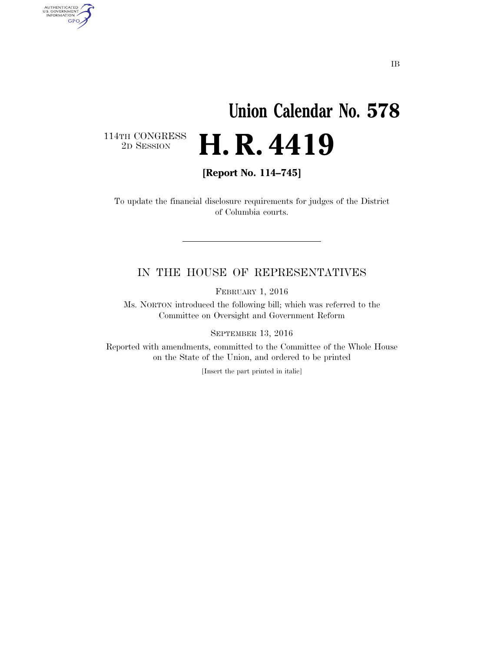# **Union Calendar No. 578**  2D SESSION **H. R. 4419**

 $\begin{array}{c} \textbf{114TH CONGRESS} \\ \textbf{2D} \textbf{Session} \end{array}$ 

AUTHENTICATED<br>U.S. GOVERNMENT<br>INFORMATION GPO

**[Report No. 114–745]** 

To update the financial disclosure requirements for judges of the District of Columbia courts.

#### IN THE HOUSE OF REPRESENTATIVES

FEBRUARY 1, 2016

Ms. NORTON introduced the following bill; which was referred to the Committee on Oversight and Government Reform

SEPTEMBER 13, 2016

Reported with amendments, committed to the Committee of the Whole House on the State of the Union, and ordered to be printed

[Insert the part printed in italic]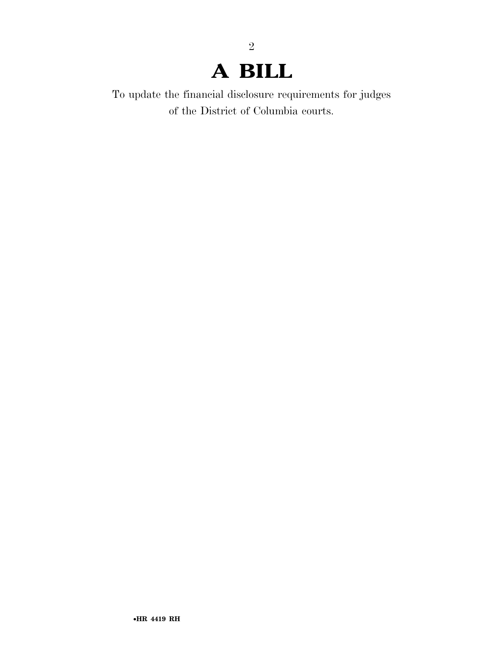## **A BILL**

2

To update the financial disclosure requirements for judges of the District of Columbia courts.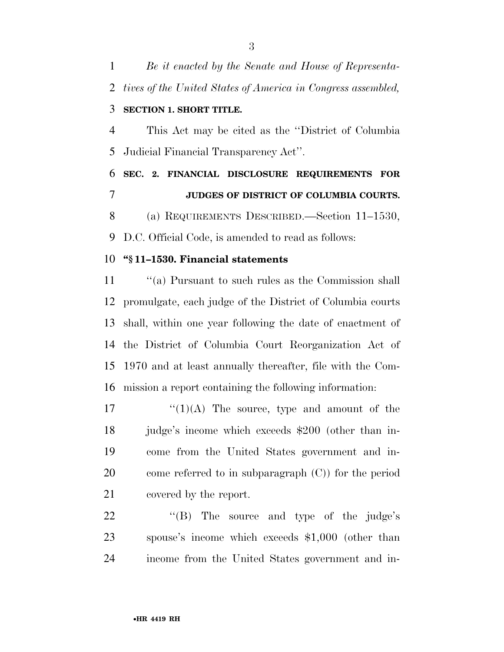*Be it enacted by the Senate and House of Representa- tives of the United States of America in Congress assembled,*  **SECTION 1. SHORT TITLE.** 

 This Act may be cited as the ''District of Columbia Judicial Financial Transparency Act''.

 **SEC. 2. FINANCIAL DISCLOSURE REQUIREMENTS FOR JUDGES OF DISTRICT OF COLUMBIA COURTS.** 

(a) REQUIREMENTS DESCRIBED.—Section 11–1530,

D.C. Official Code, is amended to read as follows:

#### **''§ 11–1530. Financial statements**

11 ''(a) Pursuant to such rules as the Commission shall promulgate, each judge of the District of Columbia courts shall, within one year following the date of enactment of the District of Columbia Court Reorganization Act of 1970 and at least annually thereafter, file with the Com-mission a report containing the following information:

 $\frac{17}{2}$   $\frac{17}{2}$   $\frac{17}{2}$  The source, type and amount of the judge's income which exceeds \$200 (other than in- come from the United States government and in- come referred to in subparagraph (C)) for the period covered by the report.

22 "(B) The source and type of the judge's spouse's income which exceeds \$1,000 (other than income from the United States government and in-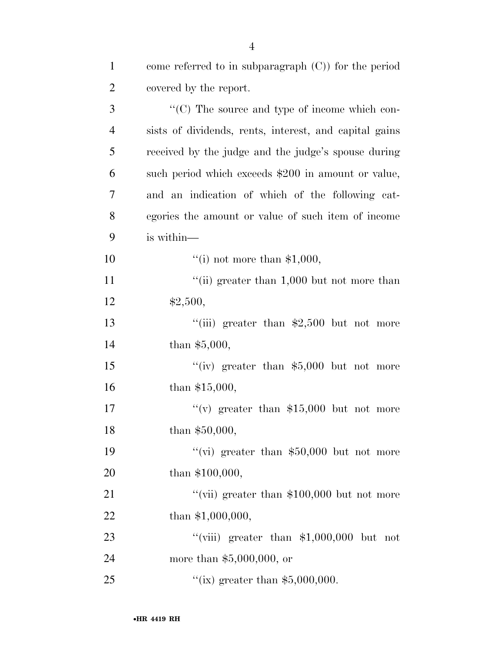| $\mathbf{1}$   | come referred to in subparagraph $(C)$ ) for the period |
|----------------|---------------------------------------------------------|
| $\overline{2}$ | covered by the report.                                  |
| 3              | "(C) The source and type of income which con-           |
| $\overline{4}$ | sists of dividends, rents, interest, and capital gains  |
| 5              | received by the judge and the judge's spouse during     |
| 6              | such period which exceeds \$200 in amount or value,     |
| $\overline{7}$ | and an indication of which of the following cat-        |
| 8              | egories the amount or value of such item of income      |
| 9              | is within—                                              |
| 10             | "(i) not more than $$1,000$ ,                           |
| 11             | "(ii) greater than $1,000$ but not more than            |
| 12             | \$2,500,                                                |
| 13             | "(iii) greater than $$2,500$ but not more               |
| 14             | than $$5,000,$                                          |
| 15             | "(iv) greater than $$5,000$ but not more                |
| 16             | than $$15,000,$                                         |
| 17             | "(v) greater than $$15,000$ but not more                |
| 18             | than $$50,000,$                                         |
| 19             | "(vi) greater than $$50,000$ but not more               |
| 20             | than $$100,000,$                                        |
| 21             | "(vii) greater than $$100,000$ but not more             |
| 22             | than $$1,000,000,$                                      |
| 23             | "(viii) greater than $$1,000,000$ but not               |
| 24             | more than $$5,000,000$ , or                             |
| 25             | "(ix) greater than $$5,000,000$ .                       |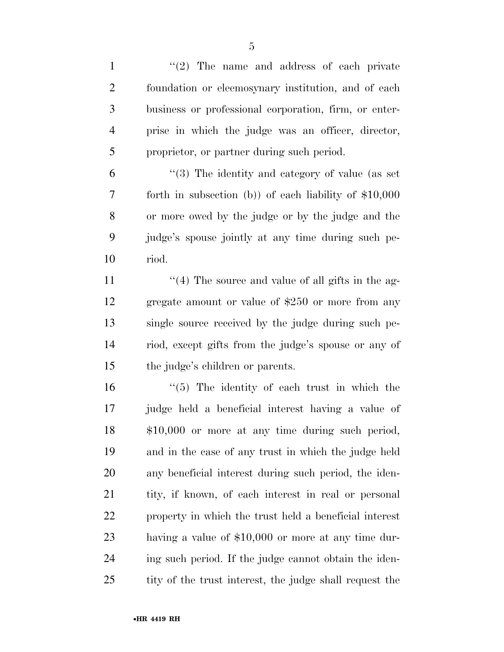1 ''(2) The name and address of each private foundation or eleemosynary institution, and of each business or professional corporation, firm, or enter- prise in which the judge was an officer, director, proprietor, or partner during such period.

 ''(3) The identity and category of value (as set forth in subsection (b)) of each liability of \$10,000 or more owed by the judge or by the judge and the judge's spouse jointly at any time during such pe-riod.

 $\frac{1}{4}$  The source and value of all gifts in the ag- gregate amount or value of \$250 or more from any single source received by the judge during such pe- riod, except gifts from the judge's spouse or any of the judge's children or parents.

 ''(5) The identity of each trust in which the judge held a beneficial interest having a value of \$10,000 or more at any time during such period, and in the case of any trust in which the judge held any beneficial interest during such period, the iden-21 tity, if known, of each interest in real or personal property in which the trust held a beneficial interest having a value of \$10,000 or more at any time dur- ing such period. If the judge cannot obtain the iden-25 tity of the trust interest, the judge shall request the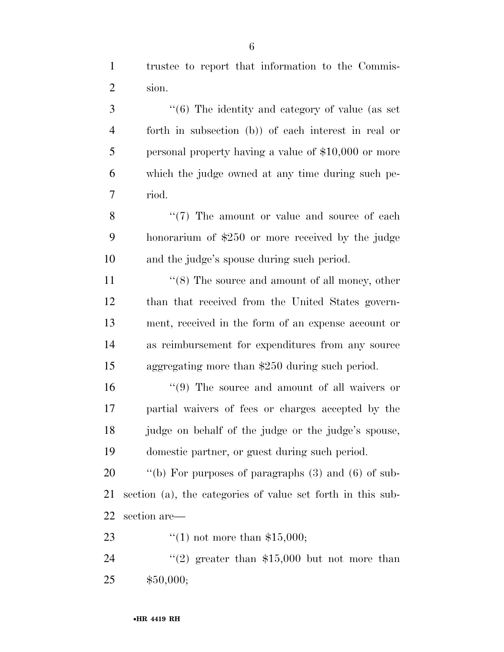trustee to report that information to the Commis-sion.

 ''(6) The identity and category of value (as set forth in subsection (b)) of each interest in real or personal property having a value of \$10,000 or more which the judge owned at any time during such pe-riod.

8 "(7) The amount or value and source of each honorarium of \$250 or more received by the judge and the judge's spouse during such period.

11 ''(8) The source and amount of all money, other than that received from the United States govern- ment, received in the form of an expense account or as reimbursement for expenditures from any source aggregating more than \$250 during such period.

16 ''(9) The source and amount of all waivers or partial waivers of fees or charges accepted by the judge on behalf of the judge or the judge's spouse, domestic partner, or guest during such period.

 ''(b) For purposes of paragraphs (3) and (6) of sub- section (a), the categories of value set forth in this sub-section are—

''(1) not more than \$15,000;

24  $(2)$  greater than \$15,000 but not more than \$50,000;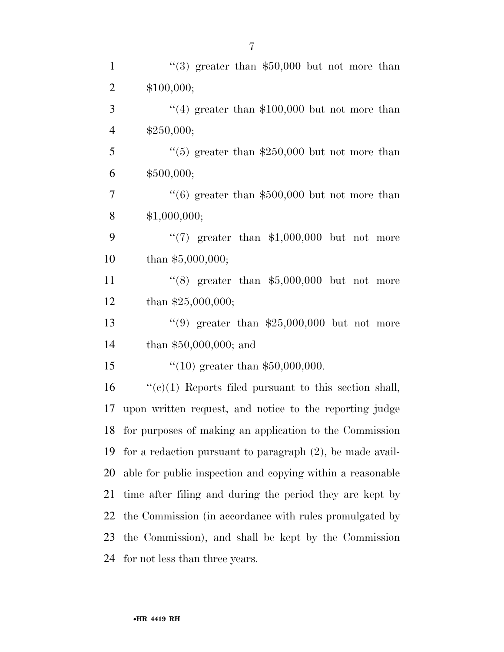| $\mathbf{1}$   | "(3) greater than $$50,000$ but not more than                |
|----------------|--------------------------------------------------------------|
| $\overline{2}$ | \$100,000;                                                   |
| 3              | $(4)$ greater than \$100,000 but not more than               |
| $\overline{4}$ | \$250,000;                                                   |
| 5              | "(5) greater than $$250,000$ but not more than               |
| 6              | \$500,000;                                                   |
| $\tau$         | $(6)$ greater than \$500,000 but not more than               |
| 8              | \$1,000,000;                                                 |
| 9              | "(7) greater than $$1,000,000$ but not more                  |
| 10             | than $$5,000,000;$                                           |
| 11             | "(8) greater than $$5,000,000$ but not more                  |
| 12             | than $$25,000,000;$                                          |
| 13             | "(9) greater than $$25,000,000$ but not more                 |
| 14             | than $$50,000,000;$ and                                      |
| 15             | "(10) greater than $$50,000,000$ .                           |
| 16             | $``(e)(1)$ Reports filed pursuant to this section shall,     |
| 17             | upon written request, and notice to the reporting judge      |
| 18             | for purposes of making an application to the Commission      |
| 19             | for a redaction pursuant to paragraph $(2)$ , be made avail- |
| 20             | able for public inspection and copying within a reasonable   |
| 21             | time after filing and during the period they are kept by     |
| 22             | the Commission (in accordance with rules promulgated by      |
| 23             | the Commission), and shall be kept by the Commission         |
| 24             | for not less than three years.                               |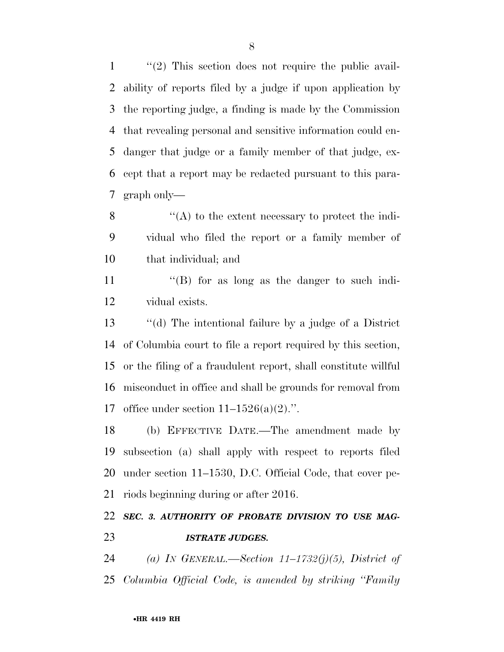''(2) This section does not require the public avail- ability of reports filed by a judge if upon application by the reporting judge, a finding is made by the Commission that revealing personal and sensitive information could en- danger that judge or a family member of that judge, ex- cept that a report may be redacted pursuant to this para-graph only—

 ''(A) to the extent necessary to protect the indi- vidual who filed the report or a family member of that individual; and

11 ''(B) for as long as the danger to such indi-vidual exists.

 ''(d) The intentional failure by a judge of a District of Columbia court to file a report required by this section, or the filing of a fraudulent report, shall constitute willful misconduct in office and shall be grounds for removal from 17 office under section  $11-1526(a)(2)$ .".

 (b) EFFECTIVE DATE.—The amendment made by subsection (a) shall apply with respect to reports filed under section 11–1530, D.C. Official Code, that cover pe-riods beginning during or after 2016.

### *SEC. 3. AUTHORITY OF PROBATE DIVISION TO USE MAG-ISTRATE JUDGES.*

 *(a) IN GENERAL.—Section 11–1732(j)(5), District of Columbia Official Code, is amended by striking ''Family*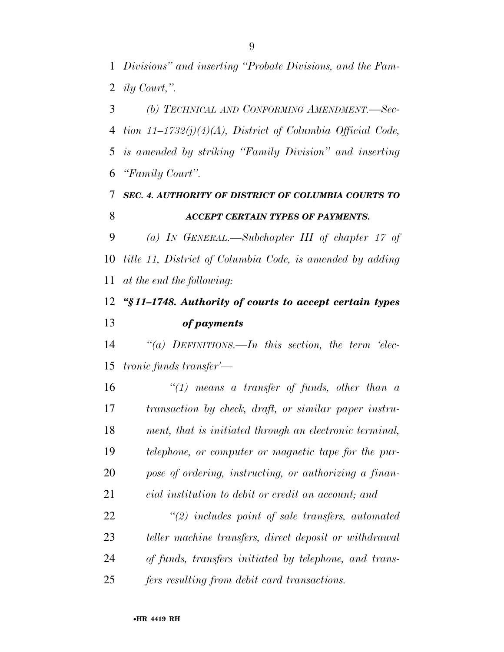*Divisions'' and inserting ''Probate Divisions, and the Fam-ily Court,''.* 

 *(b) TECHNICAL AND CONFORMING AMENDMENT.—Sec- tion 11–1732(j)(4)(A), District of Columbia Official Code, is amended by striking ''Family Division'' and inserting ''Family Court''.* 

#### *SEC. 4. AUTHORITY OF DISTRICT OF COLUMBIA COURTS TO ACCEPT CERTAIN TYPES OF PAYMENTS.*

 *(a) IN GENERAL.—Subchapter III of chapter 17 of title 11, District of Columbia Code, is amended by adding at the end the following:* 

### *''§ 11–1748. Authority of courts to accept certain types of payments*

 *''(a) DEFINITIONS.—In this section, the term 'elec-tronic funds transfer'—* 

 *''(1) means a transfer of funds, other than a transaction by check, draft, or similar paper instru- ment, that is initiated through an electronic terminal, telephone, or computer or magnetic tape for the pur- pose of ordering, instructing, or authorizing a finan-cial institution to debit or credit an account; and* 

 *''(2) includes point of sale transfers, automated teller machine transfers, direct deposit or withdrawal of funds, transfers initiated by telephone, and trans-fers resulting from debit card transactions.*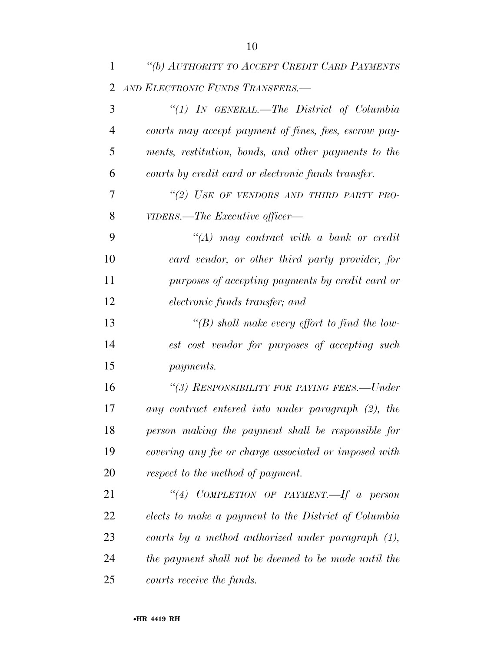| 1              | "(b) AUTHORITY TO ACCEPT CREDIT CARD PAYMENTS         |
|----------------|-------------------------------------------------------|
| 2              | AND ELECTRONIC FUNDS TRANSFERS.-                      |
| 3              | "(1) IN GENERAL.—The District of Columbia             |
| $\overline{4}$ | courts may accept payment of fines, fees, escrow pay- |
| 5              | ments, restitution, bonds, and other payments to the  |
| 6              | courts by credit card or electronic funds transfer.   |
| 7              | "(2) USE OF VENDORS AND THIRD PARTY PRO-              |
| 8              | VIDERS.—The Executive officer—                        |
| 9              | $\lq (A)$ may contract with a bank or credit          |
| 10             | card vendor, or other third party provider, for       |
| 11             | purposes of accepting payments by credit card or      |
| 12             | electronic funds transfer; and                        |
| 13             | "(B) shall make every effort to find the low-         |
| 14             | est cost vendor for purposes of accepting such        |
| 15             | <i>payments.</i>                                      |
| 16             | "(3) RESPONSIBILITY FOR PAYING FEES.-Under            |
| 17             | any contract entered into under paragraph (2), the    |
| 18             | person making the payment shall be responsible for    |
| 19             | covering any fee or charge associated or imposed with |
| 20             | respect to the method of payment.                     |
| 21             | "(4) COMPLETION OF PAYMENT.—If a person               |
| 22             | elects to make a payment to the District of Columbia  |
| 23             | courts by a method authorized under paragraph $(1)$ , |
| 24             | the payment shall not be deemed to be made until the  |
| 25             | courts receive the funds.                             |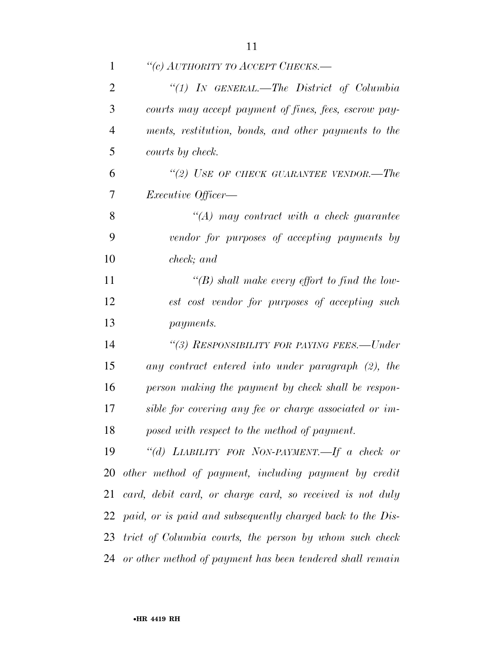| $\mathbf{1}$   | "(c) AUTHORITY TO ACCEPT CHECKS.—                            |
|----------------|--------------------------------------------------------------|
| $\overline{2}$ | "(1) IN GENERAL.—The District of Columbia                    |
| 3              | courts may accept payment of fines, fees, escrow pay-        |
| $\overline{4}$ | ments, restitution, bonds, and other payments to the         |
| 5              | courts by check.                                             |
| 6              | "(2) USE OF CHECK GUARANTEE VENDOR.—The                      |
| 7              | <i>Executive Officer</i> —                                   |
| 8              | $\lq (A)$ may contract with a check guarantee                |
| 9              | vendor for purposes of accepting payments by                 |
| 10             | check; and                                                   |
| 11             | "(B) shall make every effort to find the low-                |
| 12             | est cost vendor for purposes of accepting such               |
| 13             | <i>payments.</i>                                             |
| 14             | "(3) RESPONSIBILITY FOR PAYING FEES.—Under                   |
| 15             | any contract entered into under paragraph (2), the           |
| 16             | person making the payment by check shall be respon-          |
| 17             | sible for covering any fee or charge associated or im-       |
| 18             | posed with respect to the method of payment.                 |
| 19             | "(d) LIABILITY FOR NON-PAYMENT.—If a check or                |
|                | 20 other method of payment, including payment by credit      |
| 21             | card, debit card, or charge card, so received is not duly    |
| 22             | paid, or is paid and subsequently charged back to the Dis-   |
|                | 23 trict of Columbia courts, the person by whom such check   |
|                | 24 or other method of payment has been tendered shall remain |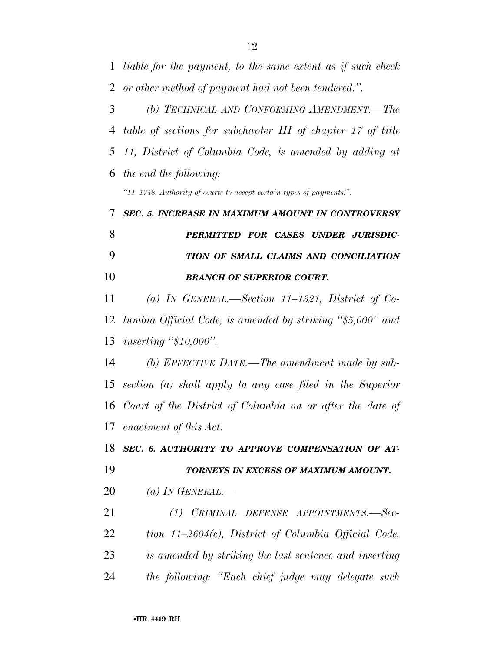| $\mathbf{1}$   | liable for the payment, to the same extent as if such check          |
|----------------|----------------------------------------------------------------------|
| $\overline{2}$ | or other method of payment had not been tendered.".                  |
| 3              | (b) TECHNICAL AND CONFORMING AMENDMENT.—The                          |
| 4              | table of sections for subchapter III of chapter 17 of title          |
| 5              | 11, District of Columbia Code, is amended by adding at               |
| 6              | the end the following:                                               |
|                | "11-1748. Authority of courts to accept certain types of payments.". |
| 7              | SEC. 5. INCREASE IN MAXIMUM AMOUNT IN CONTROVERSY                    |
| 8              | PERMITTED FOR CASES UNDER JURISDIC-                                  |
| 9              | TION OF SMALL CLAIMS AND CONCILIATION                                |
| 10             | <b>BRANCH OF SUPERIOR COURT.</b>                                     |
| 11             | (a) IN GENERAL.—Section 11–1321, District of Co-                     |
| 12             | lumbia Official Code, is amended by striking "\$5,000" and           |
| 13             | inserting " $$10,000$ ".                                             |
| 14             | (b) EFFECTIVE DATE.—The amendment made by sub-                       |
| 15             | section (a) shall apply to any case filed in the Superior            |
|                | 16 Court of the District of Columbia on or after the date of         |
|                | 17 enactment of this Act.                                            |
| 18             | SEC. 6. AUTHORITY TO APPROVE COMPENSATION OF AT-                     |
| 19             | TORNEYS IN EXCESS OF MAXIMUM AMOUNT.                                 |
| 20             | (a) IN GENERAL.—                                                     |
| 21             | (1) CRIMINAL DEFENSE APPOINTMENTS.-Sec-                              |
| 22             | tion $11-2604(c)$ , District of Columbia Official Code,              |
| 23             | is amended by striking the last sentence and inserting               |
| 24             | the following: "Each chief judge may delegate such                   |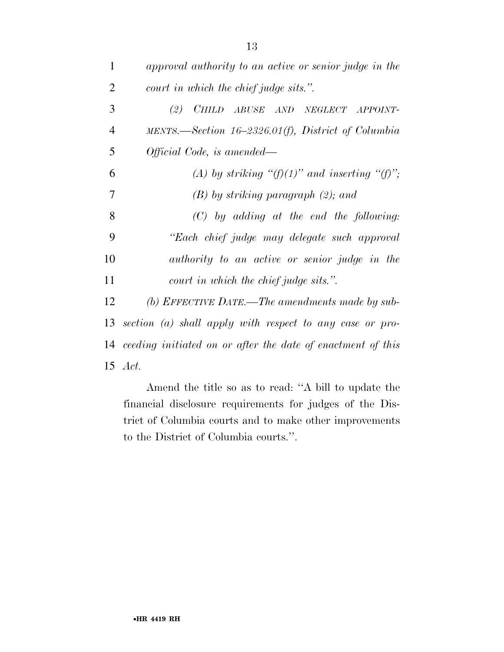| 1              | approval authority to an active or senior judge in the         |
|----------------|----------------------------------------------------------------|
| $\overline{2}$ | court in which the chief judge sits.".                         |
| 3              | (2) CHILD ABUSE AND NEGLECT APPOINT-                           |
| 4              | MENTS.—Section $16-2326.01(f)$ , District of Columbia          |
| 5              | Official Code, is amended—                                     |
| 6              | (A) by striking " $(f)(1)$ " and inserting " $(f)$ ";          |
| 7              | $(B)$ by striking paragraph $(2)$ ; and                        |
| 8              | $(C)$ by adding at the end the following:                      |
| 9              | "Each chief judge may delegate such approval                   |
| 10             | authority to an active or senior judge in the                  |
| 11             | court in which the chief judge sits.".                         |
| 12             | (b) EFFECTIVE DATE.—The amendments made by sub-                |
| 13             | section (a) shall apply with respect to any case or pro-       |
|                | 14 ceeding initiated on or after the date of enactment of this |
|                | 15 <i>Act.</i>                                                 |

Amend the title so as to read: ''A bill to update the financial disclosure requirements for judges of the District of Columbia courts and to make other improvements to the District of Columbia courts.''.